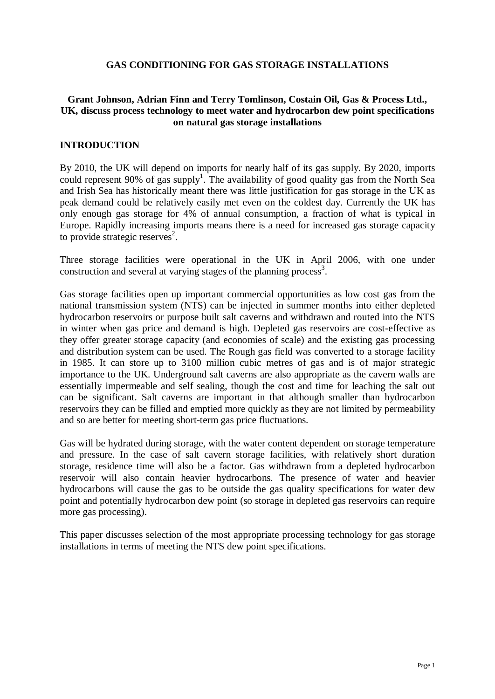#### **GAS CONDITIONING FOR GAS STORAGE INSTALLATIONS**

### **Grant Johnson, Adrian Finn and Terry Tomlinson, Costain Oil, Gas & Process Ltd., UK, discuss process technology to meet water and hydrocarbon dew point specifications on natural gas storage installations**

#### **INTRODUCTION**

By 2010, the UK will depend on imports for nearly half of its gas supply. By 2020, imports could represent 90% of gas supply<sup>1</sup>. The availability of good quality gas from the North Sea and Irish Sea has historically meant there was little justification for gas storage in the UK as peak demand could be relatively easily met even on the coldest day. Currently the UK has only enough gas storage for 4% of annual consumption, a fraction of what is typical in Europe. Rapidly increasing imports means there is a need for increased gas storage capacity to provide strategic reserves 2 .

Three storage facilities were operational in the UK in April 2006, with one under construction and several at varying stages of the planning process<sup>3</sup>.

Gas storage facilities open up important commercial opportunities as low cost gas from the national transmission system (NTS) can be injected in summer months into either depleted hydrocarbon reservoirs or purpose built salt caverns and withdrawn and routed into the NTS in winter when gas price and demand is high. Depleted gas reservoirs are cost-effective as they offer greater storage capacity (and economies of scale) and the existing gas processing and distribution system can be used. The Rough gas field was converted to a storage facility in 1985. It can store up to 3100 million cubic metres of gas and is of major strategic importance to the UK. Underground salt caverns are also appropriate as the cavern walls are essentially impermeable and self sealing, though the cost and time for leaching the salt out can be significant. Salt caverns are important in that although smaller than hydrocarbon reservoirs they can be filled and emptied more quickly as they are not limited by permeability and so are better for meeting short-term gas price fluctuations.

Gas will be hydrated during storage, with the water content dependent on storage temperature and pressure. In the case of salt cavern storage facilities, with relatively short duration storage, residence time will also be a factor. Gas withdrawn from a depleted hydrocarbon reservoir will also contain heavier hydrocarbons. The presence of water and heavier hydrocarbons will cause the gas to be outside the gas quality specifications for water dew point and potentially hydrocarbon dew point (so storage in depleted gas reservoirs can require more gas processing).

This paper discusses selection of the most appropriate processing technology for gas storage installations in terms of meeting the NTS dew point specifications.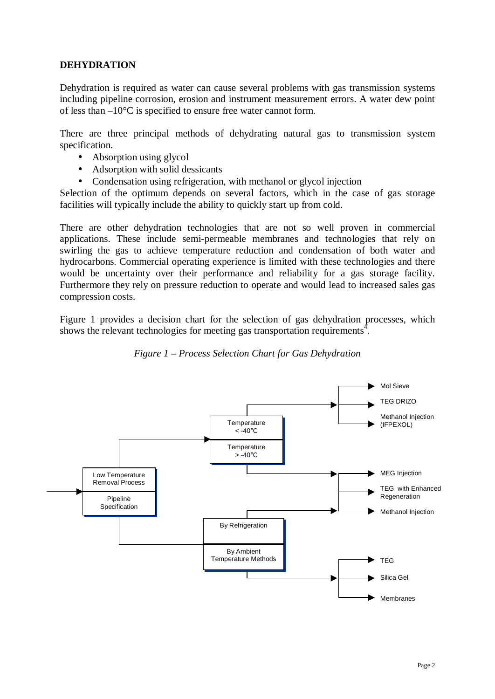# **DEHYDRATION**

Dehydration is required as water can cause several problems with gas transmission systems including pipeline corrosion, erosion and instrument measurement errors. A water dew point of less than –10°C is specified to ensure free water cannot form.

There are three principal methods of dehydrating natural gas to transmission system specification.

- Absorption using glycol
- Adsorption with solid dessicants
- Condensation using refrigeration, with methanol or glycol injection

Selection of the optimum depends on several factors, which in the case of gas storage facilities will typically include the ability to quickly start up from cold.

There are other dehydration technologies that are not so well proven in commercial applications. These include semi-permeable membranes and technologies that rely on swirling the gas to achieve temperature reduction and condensation of both water and hydrocarbons. Commercial operating experience is limited with these technologies and there would be uncertainty over their performance and reliability for a gas storage facility. Furthermore they rely on pressure reduction to operate and would lead to increased sales gas compression costs.

Figure 1 provides a decision chart for the selection of gas dehydration processes, which shows the relevant technologies for meeting gas transportation requirements<sup>4</sup>.



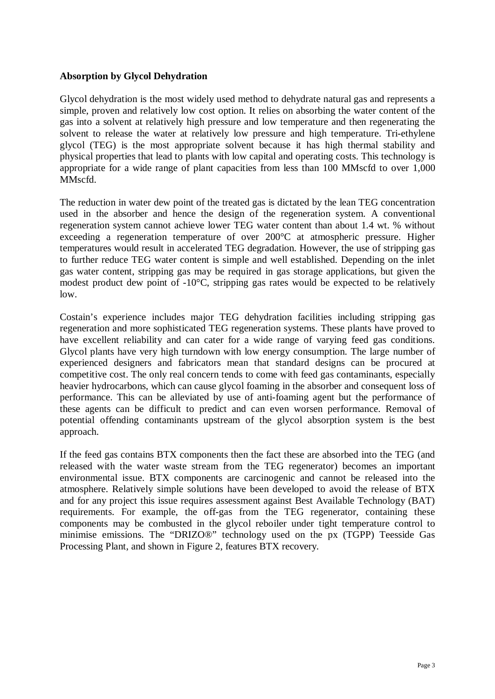# **Absorption by Glycol Dehydration**

Glycol dehydration is the most widely used method to dehydrate natural gas and represents a simple, proven and relatively low cost option. It relies on absorbing the water content of the gas into a solvent at relatively high pressure and low temperature and then regenerating the solvent to release the water at relatively low pressure and high temperature. Tri-ethylene glycol (TEG) is the most appropriate solvent because it has high thermal stability and physical properties that lead to plants with low capital and operating costs. This technology is appropriate for a wide range of plant capacities from less than 100 MMscfd to over 1,000 MMscfd.

The reduction in water dew point of the treated gas is dictated by the lean TEG concentration used in the absorber and hence the design of the regeneration system. A conventional regeneration system cannot achieve lower TEG water content than about 1.4 wt. % without exceeding a regeneration temperature of over 200°C at atmospheric pressure. Higher temperatures would result in accelerated TEG degradation. However, the use of stripping gas to further reduce TEG water content is simple and well established. Depending on the inlet gas water content, stripping gas may be required in gas storage applications, but given the modest product dew point of -10°C, stripping gas rates would be expected to be relatively low.

Costain's experience includes major TEG dehydration facilities including stripping gas regeneration and more sophisticated TEG regeneration systems. These plants have proved to have excellent reliability and can cater for a wide range of varying feed gas conditions. Glycol plants have very high turndown with low energy consumption. The large number of experienced designers and fabricators mean that standard designs can be procured at competitive cost. The only real concern tends to come with feed gas contaminants, especially heavier hydrocarbons, which can cause glycol foaming in the absorber and consequent loss of performance. This can be alleviated by use of anti-foaming agent but the performance of these agents can be difficult to predict and can even worsen performance. Removal of potential offending contaminants upstream of the glycol absorption system is the best approach.

If the feed gas contains BTX components then the fact these are absorbed into the TEG (and released with the water waste stream from the TEG regenerator) becomes an important environmental issue. BTX components are carcinogenic and cannot be released into the atmosphere. Relatively simple solutions have been developed to avoid the release of BTX and for any project this issue requires assessment against Best Available Technology (BAT) requirements. For example, the off-gas from the TEG regenerator, containing these components may be combusted in the glycol reboiler under tight temperature control to minimise emissions. The "DRIZO®" technology used on the px (TGPP) Teesside Gas Processing Plant, and shown in Figure 2, features BTX recovery.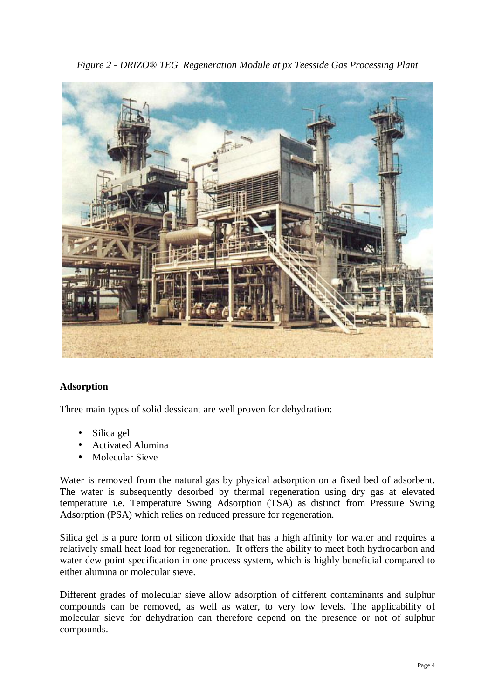*Figure 2 - DRIZO® TEG Regeneration Module at px Teesside Gas Processing Plant* 



# **Adsorption**

Three main types of solid dessicant are well proven for dehydration:

- Silica gel
- Activated Alumina
- Molecular Sieve

Water is removed from the natural gas by physical adsorption on a fixed bed of adsorbent. The water is subsequently desorbed by thermal regeneration using dry gas at elevated temperature i.e. Temperature Swing Adsorption (TSA) as distinct from Pressure Swing Adsorption (PSA) which relies on reduced pressure for regeneration.

Silica gel is a pure form of silicon dioxide that has a high affinity for water and requires a relatively small heat load for regeneration. It offers the ability to meet both hydrocarbon and water dew point specification in one process system, which is highly beneficial compared to either alumina or molecular sieve.

Different grades of molecular sieve allow adsorption of different contaminants and sulphur compounds can be removed, as well as water, to very low levels. The applicability of molecular sieve for dehydration can therefore depend on the presence or not of sulphur compounds.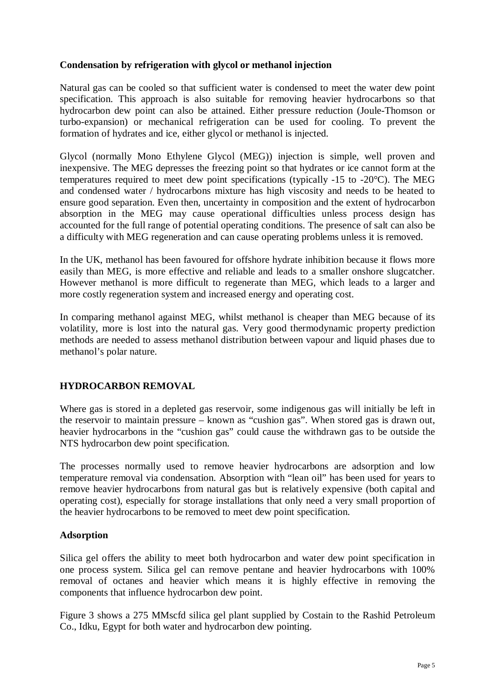## **Condensation by refrigeration with glycol or methanol injection**

Natural gas can be cooled so that sufficient water is condensed to meet the water dew point specification. This approach is also suitable for removing heavier hydrocarbons so that hydrocarbon dew point can also be attained. Either pressure reduction (Joule-Thomson or turbo-expansion) or mechanical refrigeration can be used for cooling. To prevent the formation of hydrates and ice, either glycol or methanol is injected.

Glycol (normally Mono Ethylene Glycol (MEG)) injection is simple, well proven and inexpensive. The MEG depresses the freezing point so that hydrates or ice cannot form at the temperatures required to meet dew point specifications (typically -15 to -20°C). The MEG and condensed water / hydrocarbons mixture has high viscosity and needs to be heated to ensure good separation. Even then, uncertainty in composition and the extent of hydrocarbon absorption in the MEG may cause operational difficulties unless process design has accounted for the full range of potential operating conditions. The presence of salt can also be a difficulty with MEG regeneration and can cause operating problems unless it is removed.

In the UK, methanol has been favoured for offshore hydrate inhibition because it flows more easily than MEG, is more effective and reliable and leads to a smaller onshore slugcatcher. However methanol is more difficult to regenerate than MEG, which leads to a larger and more costly regeneration system and increased energy and operating cost.

In comparing methanol against MEG, whilst methanol is cheaper than MEG because of its volatility, more is lost into the natural gas. Very good thermodynamic property prediction methods are needed to assess methanol distribution between vapour and liquid phases due to methanol's polar nature.

# **HYDROCARBON REMOVAL**

Where gas is stored in a depleted gas reservoir, some indigenous gas will initially be left in the reservoir to maintain pressure – known as "cushion gas". When stored gas is drawn out, heavier hydrocarbons in the "cushion gas" could cause the withdrawn gas to be outside the NTS hydrocarbon dew point specification.

The processes normally used to remove heavier hydrocarbons are adsorption and low temperature removal via condensation. Absorption with "lean oil" has been used for years to remove heavier hydrocarbons from natural gas but is relatively expensive (both capital and operating cost), especially for storage installations that only need a very small proportion of the heavier hydrocarbons to be removed to meet dew point specification.

#### **Adsorption**

Silica gel offers the ability to meet both hydrocarbon and water dew point specification in one process system. Silica gel can remove pentane and heavier hydrocarbons with 100% removal of octanes and heavier which means it is highly effective in removing the components that influence hydrocarbon dew point.

Figure 3 shows a 275 MMscfd silica gel plant supplied by Costain to the Rashid Petroleum Co., Idku, Egypt for both water and hydrocarbon dew pointing.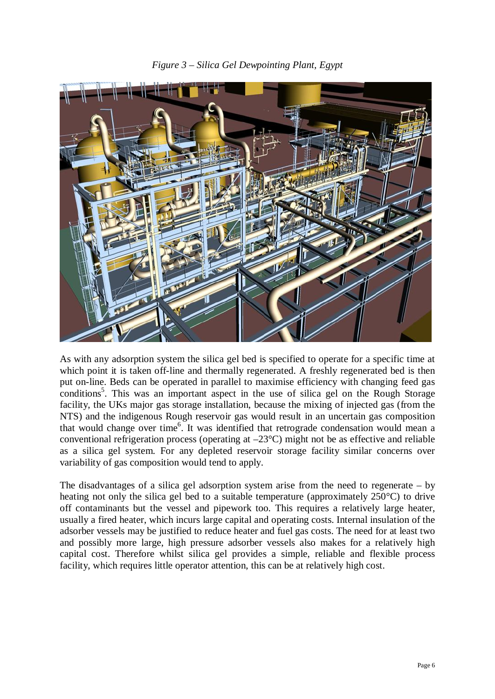



As with any adsorption system the silica gel bed is specified to operate for a specific time at which point it is taken of f-line and thermally regenerated. A freshly regenerated bed is then put on-line. Beds can be operated in parallel to maximise efficiency with changing feed gas conditions<sup>5</sup>. This was an important aspect in the use of silica gel on the Rough Storage facility, the UKs major gas storage installation, because the mixing of injected gas (from the NTS) and the indigenous Rough reservoir gas would result in an uncertain gas composition that would change over time<sup>6</sup>. It was identified that retrograde condensation would mean a conventional refrigeration process (operating at  $-23^{\circ}$ C) might not be as effective and reliable as a silica gel system. For any depleted reservoir storage facility similar concerns over variability of gas composition would tend to apply.

The disadvantages of a silica gel adsorption system arise from the need to regenerate – by heating not only the silica gel bed to a suitable temperature (approximately 250°C) to drive off contaminants but the vessel and pipework too. This requires a relatively large heater, usually a fired heater, which incurs large capital and operating costs. Internal insulation of the adsorber vessels may be justified to reduce heater and fuel gas costs. The need for at least two and possibly more large, high pressure adsorber vessels also makes for a relatively high capital cost. Therefore whilst silica gel provides a simple, reliable and flexible process facility, which requires little operator attention, this can be at relatively high cost.